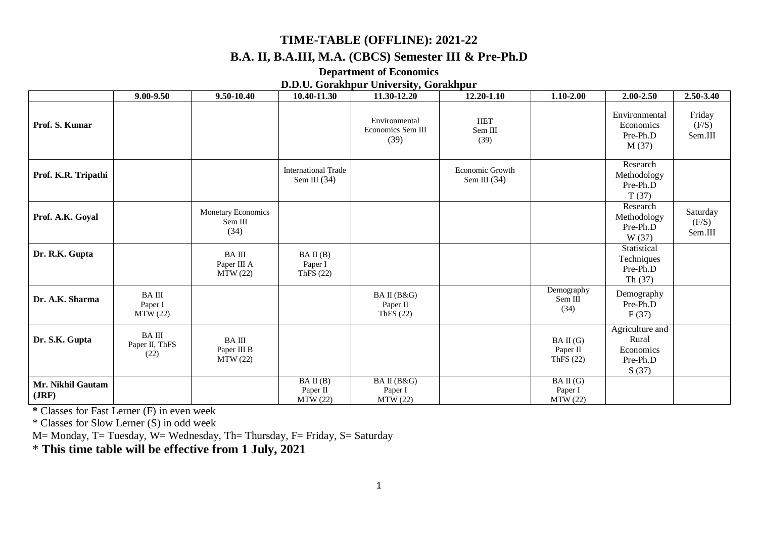# **TIME-TABLE (OFFLINE): 2021-22 B.A. II, B.A.III, M.A. (CBCS) Semester III & Pre-Ph.D**

#### **Department of Economics**

#### **D.D.U. Gorakhpur University, Gorakhpur**

|                            | $9.00 - 9.50$                          | 9.50-10.40                              | 10.40-11.30                                  | 11.30-12.20                                | 12.20-1.10                               | $1.10 - 2.00$                       | 2.00-2.50                                                  | 2.50-3.40                    |
|----------------------------|----------------------------------------|-----------------------------------------|----------------------------------------------|--------------------------------------------|------------------------------------------|-------------------------------------|------------------------------------------------------------|------------------------------|
| Prof. S. Kumar             |                                        |                                         |                                              | Environmental<br>Economics Sem III<br>(39) | <b>HET</b><br>Sem III<br>(39)            |                                     | Environmental<br>Economics<br>Pre-Ph.D<br>M(37)            | Friday<br>(F/S)<br>Sem.III   |
| Prof. K.R. Tripathi        |                                        |                                         | <b>International Trade</b><br>Sem III $(34)$ |                                            | <b>Economic Growth</b><br>Sem III $(34)$ |                                     | Research<br>Methodology<br>Pre-Ph.D<br>T(37)               |                              |
| Prof. A.K. Goyal           |                                        | Monetary Economics<br>Sem III<br>(34)   |                                              |                                            |                                          |                                     | Research<br>Methodology<br>Pre-Ph.D<br>W (37)              | Saturday<br>(F/S)<br>Sem.III |
| Dr. R.K. Gupta             |                                        | <b>BAIII</b><br>Paper III A<br>MTW(22)  | BA II(B)<br>Paper I<br>ThFS (22)             |                                            |                                          |                                     | Statistical<br>Techniques<br>Pre-Ph.D<br>Th $(37)$         |                              |
| Dr. A.K. Sharma            | <b>BAIII</b><br>Paper I<br>MTW (22)    |                                         |                                              | BA II (B&G)<br>Paper II<br>ThFS $(22)$     |                                          | Demography<br>Sem III<br>(34)       | Demography<br>Pre-Ph.D<br>F(37)                            |                              |
| Dr. S.K. Gupta             | <b>BAIII</b><br>Paper II, ThFS<br>(22) | <b>BAIII</b><br>Paper III B<br>MTW (22) |                                              |                                            |                                          | BA II(G)<br>Paper II<br>ThFS $(22)$ | Agriculture and<br>Rural<br>Economics<br>Pre-Ph.D<br>S(37) |                              |
| Mr. Nikhil Gautam<br>(JRF) |                                        |                                         | BA II(B)<br>Paper II<br>MTW (22)             | BA II (B&G)<br>Paper I<br>MTW(22)          |                                          | BA II(G)<br>Paper I<br>MTW (22)     |                                                            |                              |

**\*** Classes for Fast Lerner (F) in even week

\* Classes for Slow Lerner (S) in odd week

M= Monday, T= Tuesday, W= Wednesday, Th= Thursday, F= Friday, S= Saturday

\* **This time table will be effective from 1 July, 2021**